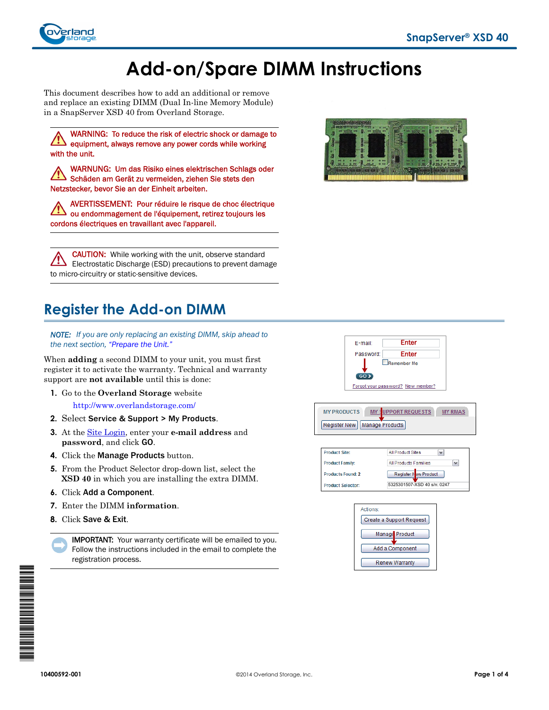

# **Add-on/Spare DIMM Instructions**

This document describes how to add an additional or remove and replace an existing DIMM (Dual In-line Memory Module) in a SnapServer XSD 40 from Overland Storage.

WARNING: To reduce the risk of electric shock or damage to equipment, always remove any power cords while working with the unit.

WARNUNG: Um das Risiko eines elektrischen Schlags oder Schäden am Gerät zu vermeiden, ziehen Sie stets den Netzstecker, bevor Sie an der Einheit arbeiten.

AVERTISSEMENT: Pour réduire le risque de choc électrique ou endommagement de l'équipement, retirez toujours les cordons électriques en travaillant avec l'appareil.

CAUTION: While working with the unit, observe standard /!\ Electrostatic Discharge (ESD) precautions to prevent damage to micro-circuitry or static-sensitive devices.

# **Register the Add-on DIMM**

*NOTE: If you are only replacing an existing DIMM, skip ahead to the next section, ["Prepare the Unit."](#page-1-0)*

When **adding** a second DIMM to your unit, you must first register it to activate the warranty. Technical and warranty support are **not available** until this is done:

**1.** Go to the **Overland Storage** website

<http://www.overlandstorage.com/>

- **2.** Select Service & Support > My Products.
- **3.** At the [Site Login,](http://support.overlandstorage.com/touchpoint/logIn/login.aspx?ReturnUrl=%2ftouchpoint%2fproducts%2fregisterProduct.aspx) enter your **e-mail address** and **password**, and click GO.
- **4.** Click the Manage Products button.
- **5.** From the Product Selector drop-down list, select the **XSD 40** in which you are installing the extra DIMM.
- **6.** Click Add a Component.
- **7.** Enter the DIMM **information**.
- **8.** Click Save & Exit.

IMPORTANT: Your warranty certificate will be emailed to you. Follow the instructions included in the email to complete the registration process.





**MY PRODUCTS** MY ! UPPORT REQUESTS MY RMAS Register New | Manage Products





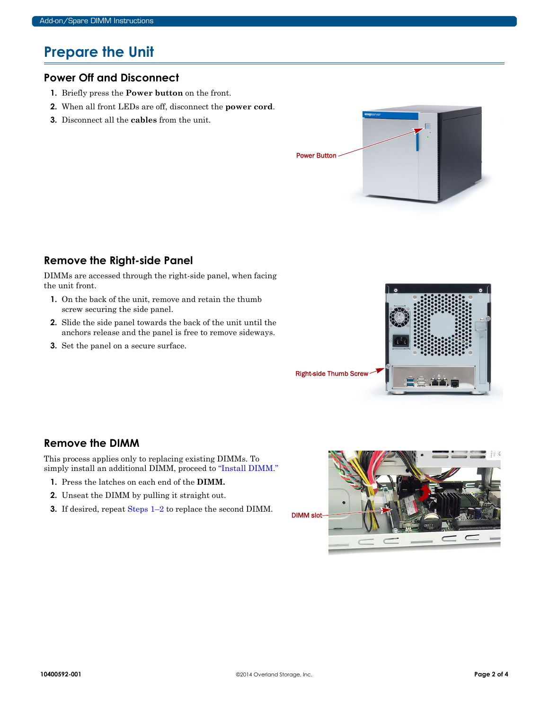# <span id="page-1-0"></span>**Prepare the Unit**

#### **Power Off and Disconnect**

- **1.** Briefly press the **Power button** on the front.
- **2.** When all front LEDs are off, disconnect the **power cord**.
- **3.** Disconnect all the **cables** from the unit.



## **Remove the Right-side Panel**

DIMMs are accessed through the right-side panel, when facing the unit front.

- **1.** On the back of the unit, remove and retain the thumb screw securing the side panel.
- **2.** Slide the side panel towards the back of the unit until the anchors release and the panel is free to remove sideways.
- **3.** Set the panel on a secure surface.



## **Remove the DIMM**

This process applies only to replacing existing DIMMs. To simply install an additional DIMM, proceed to ["Install DIMM."](#page-2-0)

- <span id="page-1-1"></span>**1.** Press the latches on each end of the **DIMM.**
- <span id="page-1-2"></span>**2.** Unseat the DIMM by pulling it straight out.
- **3.** If desired, repeat [Steps 1–](#page-1-1)[2](#page-1-2) to replace the second DIMM.

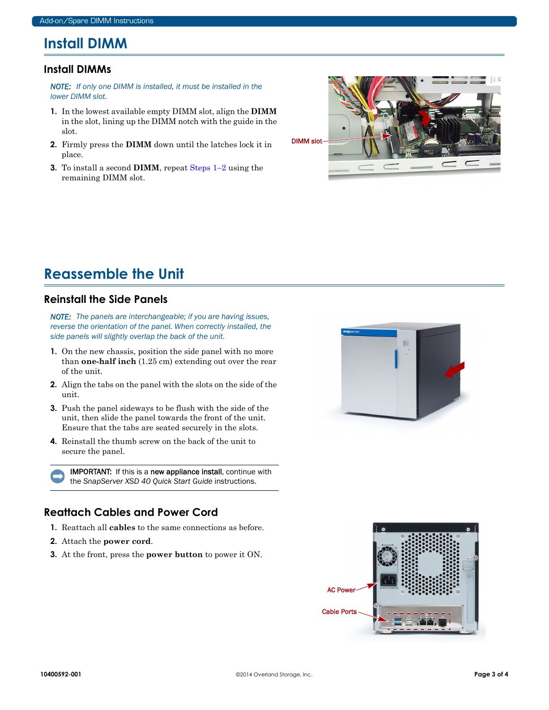# <span id="page-2-0"></span>**Install DIMM**

#### **Install DIMMs**

*NOTE: If only one DIMM is installed, it must be installed in the lower DIMM slot.*

- <span id="page-2-1"></span>**1.** In the lowest available empty DIMM slot, align the **DIMM** in the slot, lining up the DIMM notch with the guide in the slot.
- <span id="page-2-2"></span>**2.** Firmly press the **DIMM** down until the latches lock it in place.
- **3.** To install a second **DIMM**, repeat [Steps 1–](#page-2-1)[2](#page-2-2) using the remaining DIMM slot.



# **Reassemble the Unit**

#### **Reinstall the Side Panels**

*NOTE: The panels are interchangeable; if you are having issues, reverse the orientation of the panel. When correctly installed, the side panels will slightly overlap the back of the unit.*

- **1.** On the new chassis, position the side panel with no more than **one-half inch** (1.25 cm) extending out over the rear of the unit.
- **2.** Align the tabs on the panel with the slots on the side of the unit.
- **3.** Push the panel sideways to be flush with the side of the unit, then slide the panel towards the front of the unit. Ensure that the tabs are seated securely in the slots.
- **4.** Reinstall the thumb screw on the back of the unit to secure the panel.

IMPORTANT: If this is a new appliance install, continue with the *SnapServer XSD 40 Quick Start Guide* instructions.

## **Reattach Cables and Power Cord**

- **1.** Reattach all **cables** to the same connections as before.
- **2.** Attach the **power cord**.
- **3.** At the front, press the **power button** to power it ON.